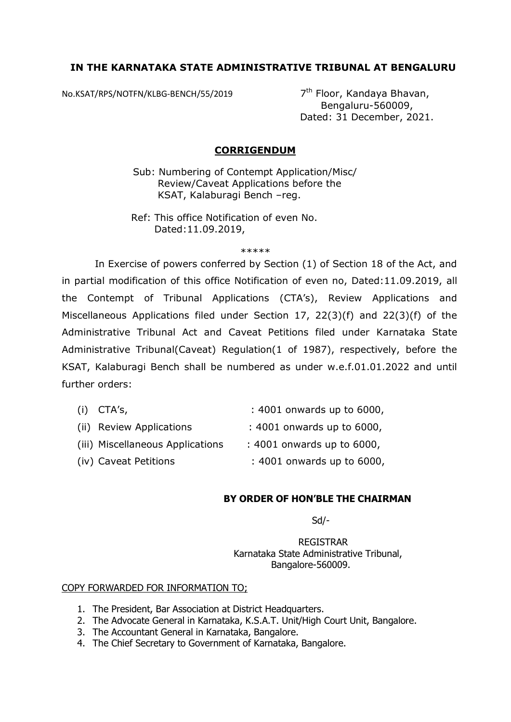## **IN THE KARNATAKA STATE ADMINISTRATIVE TRIBUNAL AT BENGALURU**

No.KSAT/RPS/NOTFN/KLBG-BENCH/55/2019 7<sup>th</sup> Floor, Kandaya Bhavan,

 Bengaluru-560009, Dated: 31 December, 2021.

## **CORRIGENDUM**

Sub: Numbering of Contempt Application/Misc/ Review/Caveat Applications before the KSAT, Kalaburagi Bench –reg.

 Ref: This office Notification of even No. Dated:11.09.2019,

\*\*\*\*\*

 In Exercise of powers conferred by Section (1) of Section 18 of the Act, and in partial modification of this office Notification of even no, Dated:11.09.2019, all the Contempt of Tribunal Applications (CTA's), Review Applications and Miscellaneous Applications filed under Section 17, 22(3)(f) and 22(3)(f) of the Administrative Tribunal Act and Caveat Petitions filed under Karnataka State Administrative Tribunal(Caveat) Regulation(1 of 1987), respectively, before the KSAT, Kalaburagi Bench shall be numbered as under w.e.f.01.01.2022 and until further orders:

| $(i)$ CTA's,                     | : 4001 onwards up to 6000, |
|----------------------------------|----------------------------|
| (ii) Review Applications         | : 4001 onwards up to 6000, |
| (iii) Miscellaneous Applications | : 4001 onwards up to 6000, |
| (iv) Caveat Petitions            | : 4001 onwards up to 6000, |

## **BY ORDER OF HON'BLE THE CHAIRMAN**

 $S$ d/- $S$ d/- $S$ 

 REGISTRAR Karnataka State Administrative Tribunal, Bangalore-560009.

## COPY FORWARDED FOR INFORMATION TO;

- 1. The President, Bar Association at District Headquarters.
- 2. The Advocate General in Karnataka, K.S.A.T. Unit/High Court Unit, Bangalore.
- 3. The Accountant General in Karnataka, Bangalore.
- 4. The Chief Secretary to Government of Karnataka, Bangalore.